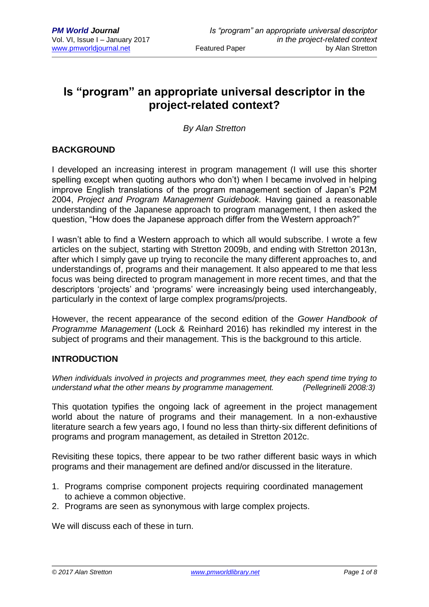# **Is "program" an appropriate universal descriptor in the project-related context?**

*By Alan Stretton*

# **BACKGROUND**

I developed an increasing interest in program management (I will use this shorter spelling except when quoting authors who don't) when I became involved in helping improve English translations of the program management section of Japan's P2M 2004, *Project and Program Management Guidebook.* Having gained a reasonable understanding of the Japanese approach to program management, I then asked the question, "How does the Japanese approach differ from the Western approach?"

I wasn't able to find a Western approach to which all would subscribe. I wrote a few articles on the subject, starting with Stretton 2009b, and ending with Stretton 2013n, after which I simply gave up trying to reconcile the many different approaches to, and understandings of, programs and their management. It also appeared to me that less focus was being directed to program management in more recent times, and that the descriptors 'projects' and 'programs' were increasingly being used interchangeably, particularly in the context of large complex programs/projects.

However, the recent appearance of the second edition of the *Gower Handbook of Programme Management* (Lock & Reinhard 2016) has rekindled my interest in the subject of programs and their management. This is the background to this article.

#### **INTRODUCTION**

*When individuals involved in projects and programmes meet, they each spend time trying to understand what the other means by programme management. (Pellegrinelli 2008:3)*

This quotation typifies the ongoing lack of agreement in the project management world about the nature of programs and their management. In a non-exhaustive literature search a few years ago, I found no less than thirty-six different definitions of programs and program management, as detailed in Stretton 2012c.

Revisiting these topics, there appear to be two rather different basic ways in which programs and their management are defined and/or discussed in the literature.

- 1. Programs comprise component projects requiring coordinated management to achieve a common objective.
- 2. Programs are seen as synonymous with large complex projects.

We will discuss each of these in turn.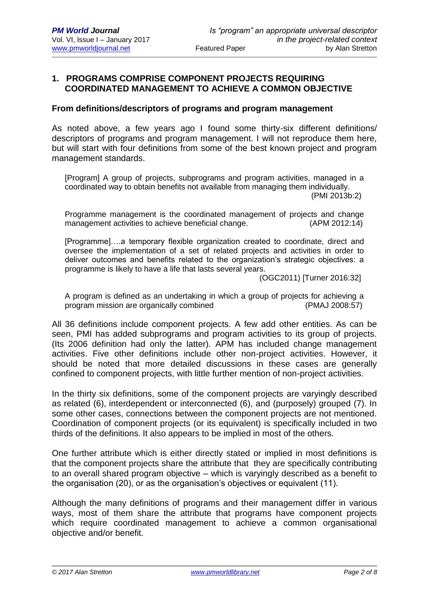# **1. PROGRAMS COMPRISE COMPONENT PROJECTS REQUIRING COORDINATED MANAGEMENT TO ACHIEVE A COMMON OBJECTIVE**

#### **From definitions/descriptors of programs and program management**

As noted above, a few years ago I found some thirty-six different definitions/ descriptors of programs and program management. I will not reproduce them here, but will start with four definitions from some of the best known project and program management standards.

[Program] A group of projects, subprograms and program activities, managed in a coordinated way to obtain benefits not available from managing them individually. (PMI 2013b:2)

Programme management is the coordinated management of projects and change management activities to achieve beneficial change. (APM 2012:14)

[Programme]….a temporary flexible organization created to coordinate, direct and oversee the implementation of a set of related projects and activities in order to deliver outcomes and benefits related to the organization's strategic objectives: a programme is likely to have a life that lasts several years.

(OGC2011) [Turner 2016:32]

A program is defined as an undertaking in which a group of projects for achieving a program mission are organically combined (PMAJ 2008:57)

All 36 definitions include component projects. A few add other entities. As can be seen, PMI has added subprograms and program activities to its group of projects. (Its 2006 definition had only the latter). APM has included change management activities. Five other definitions include other non-project activities. However, it should be noted that more detailed discussions in these cases are generally confined to component projects, with little further mention of non-project activities.

In the thirty six definitions, some of the component projects are varyingly described as related (6), interdependent or interconnected (6), and (purposely) grouped (7). In some other cases, connections between the component projects are not mentioned. Coordination of component projects (or its equivalent) is specifically included in two thirds of the definitions. It also appears to be implied in most of the others.

One further attribute which is either directly stated or implied in most definitions is that the component projects share the attribute that they are specifically contributing to an overall shared program objective – which is varyingly described as a benefit to the organisation (20), or as the organisation's objectives or equivalent (11).

Although the many definitions of programs and their management differ in various ways, most of them share the attribute that programs have component projects which require coordinated management to achieve a common organisational objective and/or benefit.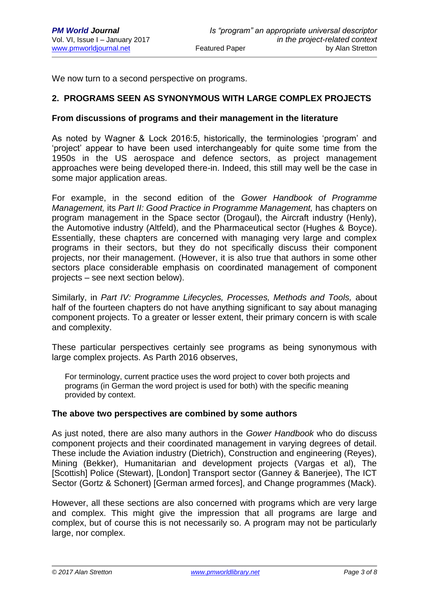We now turn to a second perspective on programs.

# **2. PROGRAMS SEEN AS SYNONYMOUS WITH LARGE COMPLEX PROJECTS**

#### **From discussions of programs and their management in the literature**

As noted by Wagner & Lock 2016:5, historically, the terminologies 'program' and 'project' appear to have been used interchangeably for quite some time from the 1950s in the US aerospace and defence sectors, as project management approaches were being developed there-in. Indeed, this still may well be the case in some major application areas.

For example, in the second edition of the *Gower Handbook of Programme Management,* its *Part II: Good Practice in Programme Management,* has chapters on program management in the Space sector (Drogaul), the Aircraft industry (Henly), the Automotive industry (Altfeld), and the Pharmaceutical sector (Hughes & Boyce). Essentially, these chapters are concerned with managing very large and complex programs in their sectors, but they do not specifically discuss their component projects, nor their management. (However, it is also true that authors in some other sectors place considerable emphasis on coordinated management of component projects – see next section below).

Similarly, in *Part IV: Programme Lifecycles, Processes, Methods and Tools,* about half of the fourteen chapters do not have anything significant to say about managing component projects. To a greater or lesser extent, their primary concern is with scale and complexity.

These particular perspectives certainly see programs as being synonymous with large complex projects. As Parth 2016 observes,

For terminology, current practice uses the word project to cover both projects and programs (in German the word project is used for both) with the specific meaning provided by context.

### **The above two perspectives are combined by some authors**

As just noted, there are also many authors in the *Gower Handbook* who do discuss component projects and their coordinated management in varying degrees of detail. These include the Aviation industry (Dietrich), Construction and engineering (Reyes), Mining (Bekker), Humanitarian and development projects (Vargas et al), The [Scottish] Police (Stewart), [London] Transport sector (Ganney & Banerjee), The ICT Sector (Gortz & Schonert) [German armed forces], and Change programmes (Mack).

However, all these sections are also concerned with programs which are very large and complex. This might give the impression that all programs are large and complex, but of course this is not necessarily so. A program may not be particularly large, nor complex.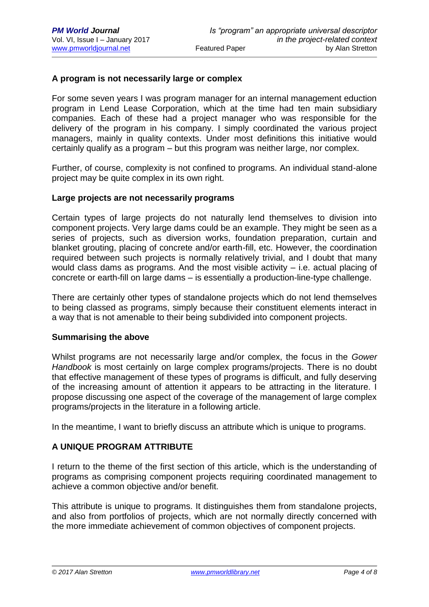# **A program is not necessarily large or complex**

For some seven years I was program manager for an internal management eduction program in Lend Lease Corporation, which at the time had ten main subsidiary companies. Each of these had a project manager who was responsible for the delivery of the program in his company. I simply coordinated the various project managers, mainly in quality contexts. Under most definitions this initiative would certainly qualify as a program – but this program was neither large, nor complex.

Further, of course, complexity is not confined to programs. An individual stand-alone project may be quite complex in its own right.

#### **Large projects are not necessarily programs**

Certain types of large projects do not naturally lend themselves to division into component projects. Very large dams could be an example. They might be seen as a series of projects, such as diversion works, foundation preparation, curtain and blanket grouting, placing of concrete and/or earth-fill, etc. However, the coordination required between such projects is normally relatively trivial, and I doubt that many would class dams as programs. And the most visible activity – i.e. actual placing of concrete or earth-fill on large dams – is essentially a production-line-type challenge.

There are certainly other types of standalone projects which do not lend themselves to being classed as programs, simply because their constituent elements interact in a way that is not amenable to their being subdivided into component projects.

#### **Summarising the above**

Whilst programs are not necessarily large and/or complex, the focus in the *Gower Handbook* is most certainly on large complex programs/projects. There is no doubt that effective management of these types of programs is difficult, and fully deserving of the increasing amount of attention it appears to be attracting in the literature. I propose discussing one aspect of the coverage of the management of large complex programs/projects in the literature in a following article.

In the meantime, I want to briefly discuss an attribute which is unique to programs.

# **A UNIQUE PROGRAM ATTRIBUTE**

I return to the theme of the first section of this article, which is the understanding of programs as comprising component projects requiring coordinated management to achieve a common objective and/or benefit.

This attribute is unique to programs. It distinguishes them from standalone projects, and also from portfolios of projects, which are not normally directly concerned with the more immediate achievement of common objectives of component projects.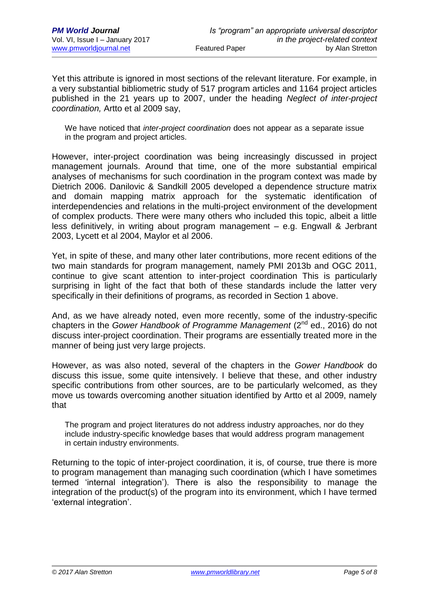Yet this attribute is ignored in most sections of the relevant literature. For example, in a very substantial bibliometric study of 517 program articles and 1164 project articles published in the 21 years up to 2007, under the heading *Neglect of inter-project coordination,* Artto et al 2009 say,

We have noticed that *inter-project coordination* does not appear as a separate issue in the program and project articles.

However, inter-project coordination was being increasingly discussed in project management journals. Around that time, one of the more substantial empirical analyses of mechanisms for such coordination in the program context was made by Dietrich 2006. Danilovic & Sandkill 2005 developed a dependence structure matrix and domain mapping matrix approach for the systematic identification of interdependencies and relations in the multi-project environment of the development of complex products. There were many others who included this topic, albeit a little less definitively, in writing about program management – e.g. Engwall & Jerbrant 2003, Lycett et al 2004, Maylor et al 2006.

Yet, in spite of these, and many other later contributions, more recent editions of the two main standards for program management, namely PMI 2013b and OGC 2011, continue to give scant attention to inter-project coordination This is particularly surprising in light of the fact that both of these standards include the latter very specifically in their definitions of programs, as recorded in Section 1 above.

And, as we have already noted, even more recently, some of the industry-specific chapters in the *Gower Handbook of Programme Management* (2<sup>nd</sup> ed., 2016) do not discuss inter-project coordination. Their programs are essentially treated more in the manner of being just very large projects.

However, as was also noted, several of the chapters in the *Gower Handbook* do discuss this issue, some quite intensively. I believe that these, and other industry specific contributions from other sources, are to be particularly welcomed, as they move us towards overcoming another situation identified by Artto et al 2009, namely that

The program and project literatures do not address industry approaches, nor do they include industry-specific knowledge bases that would address program management in certain industry environments.

Returning to the topic of inter-project coordination, it is, of course, true there is more to program management than managing such coordination (which I have sometimes termed 'internal integration'). There is also the responsibility to manage the integration of the product(s) of the program into its environment, which I have termed 'external integration'.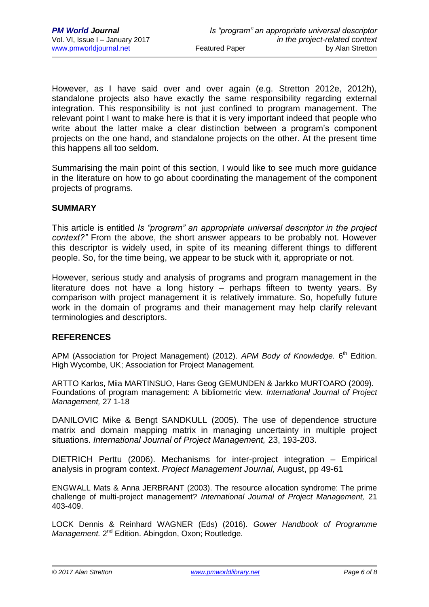However, as I have said over and over again (e.g. Stretton 2012e, 2012h), standalone projects also have exactly the same responsibility regarding external integration. This responsibility is not just confined to program management. The relevant point I want to make here is that it is very important indeed that people who write about the latter make a clear distinction between a program's component projects on the one hand, and standalone projects on the other. At the present time this happens all too seldom.

Summarising the main point of this section, I would like to see much more guidance in the literature on how to go about coordinating the management of the component projects of programs.

# **SUMMARY**

This article is entitled *Is "program" an appropriate universal descriptor in the project context?"* From the above, the short answer appears to be probably not. However this descriptor is widely used, in spite of its meaning different things to different people. So, for the time being, we appear to be stuck with it, appropriate or not.

However, serious study and analysis of programs and program management in the literature does not have a long history – perhaps fifteen to twenty years. By comparison with project management it is relatively immature. So, hopefully future work in the domain of programs and their management may help clarify relevant terminologies and descriptors.

#### **REFERENCES**

APM (Association for Project Management) (2012). APM Body of Knowledge. 6<sup>th</sup> Edition. High Wycombe, UK; Association for Project Management.

ARTTO Karlos, Miia MARTINSUO, Hans Geog GEMUNDEN & Jarkko MURTOARO (2009). Foundations of program management: A bibliometric view. *International Journal of Project Management,* 27 1-18

DANILOVIC Mike & Bengt SANDKULL (2005). The use of dependence structure matrix and domain mapping matrix in managing uncertainty in multiple project situations. *International Journal of Project Management,* 23, 193-203.

DIETRICH Perttu (2006). Mechanisms for inter-project integration – Empirical analysis in program context. *Project Management Journal,* August, pp 49-61

ENGWALL Mats & Anna JERBRANT (2003). The resource allocation syndrome: The prime challenge of multi-project management? *International Journal of Project Management,* 21 403-409.

LOCK Dennis & Reinhard WAGNER (Eds) (2016). *Gower Handbook of Programme*  Management. 2<sup>nd</sup> Edition. Abingdon, Oxon; Routledge.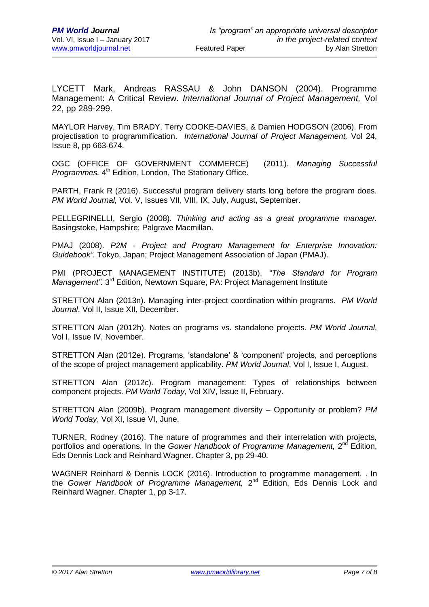LYCETT Mark, Andreas RASSAU & John DANSON (2004). Programme Management: A Critical Review. *International Journal of Project Management,* Vol 22, pp 289-299.

MAYLOR Harvey, Tim BRADY, Terry COOKE-DAVIES, & Damien HODGSON (2006). From projectisation to programmification. *International Journal of Project Management,* Vol 24, Issue 8, pp 663-674.

OGC (OFFICE OF GOVERNMENT COMMERCE) (2011). *Managing Successful*  Programmes. 4<sup>th</sup> Edition, London, The Stationary Office.

PARTH, Frank R (2016). Successful program delivery starts long before the program does. *PM World Journal,* Vol. V, Issues VII, VIII, IX, July, August, September.

PELLEGRINELLI, Sergio (2008). *Thinking and acting as a great programme manager.*  Basingstoke, Hampshire; Palgrave Macmillan.

PMAJ (2008). *P2M - Project and Program Management for Enterprise Innovation: Guidebook".* Tokyo, Japan; Project Management Association of Japan (PMAJ).

PMI (PROJECT MANAGEMENT INSTITUTE) (2013b). *"The Standard for Program*  Management". 3<sup>rd</sup> Edition, Newtown Square, PA: Project Management Institute

STRETTON Alan (2013n). Managing inter-project coordination within programs. *PM World Journal*, Vol II, Issue XII, December.

STRETTON Alan (2012h). Notes on programs vs. standalone projects. *PM World Journal*, Vol I, Issue IV, November.

STRETTON Alan (2012e). Programs, 'standalone' & 'component' projects, and perceptions of the scope of project management applicability. *PM World Journal*, Vol I, Issue I, August.

STRETTON Alan (2012c). Program management: Types of relationships between component projects. *PM World Today*, Vol XIV, Issue II, February.

STRETTON Alan (2009b). Program management diversity – Opportunity or problem? *PM World Today*, Vol XI, Issue VI, June.

TURNER, Rodney (2016). The nature of programmes and their interrelation with projects, portfolios and operations. In the *Gower Handbook of Programme Management*, 2<sup>nd</sup> Edition, Eds Dennis Lock and Reinhard Wagner. Chapter 3, pp 29-40.

WAGNER Reinhard & Dennis LOCK (2016). Introduction to programme management. . In the Gower Handbook of Programme Management, 2<sup>nd</sup> Edition, Eds Dennis Lock and Reinhard Wagner. Chapter 1, pp 3-17.